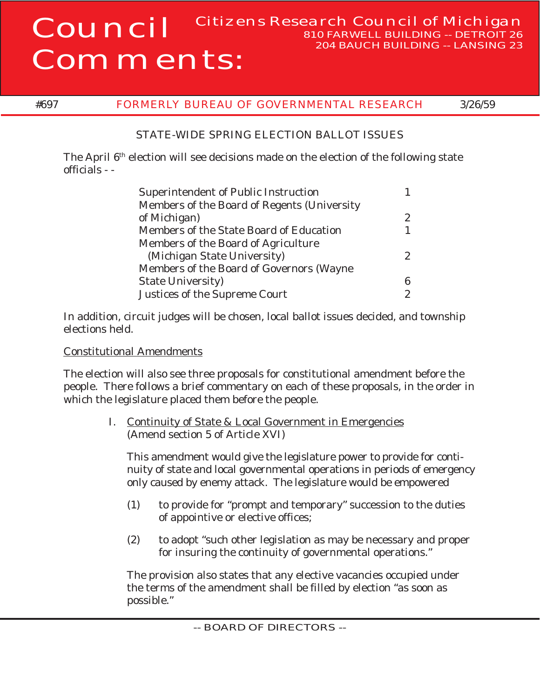## Council Comments: Citizens Research Council of Michigan

## #697 FORMERLY BUREAU OF GOVERNMENTAL RESEARCH 3/26/59

**810 FARWELL BUILDING -- DETROIT 26 204 BAUCH BUILDING -- LANSING 23**

## STATE-WIDE SPRING ELECTION BALLOT ISSUES

The April 6<sup>th</sup> election will see decisions made on the election of the following state officials - -

| Superintendent of Public Instruction        |   |
|---------------------------------------------|---|
| Members of the Board of Regents (University |   |
| of Michigan)                                | 2 |
| Members of the State Board of Education     |   |
| Members of the Board of Agriculture         |   |
| (Michigan State University)                 | 2 |
| Members of the Board of Governors (Wayne    |   |
| <b>State University</b> )                   | 6 |
| Justices of the Supreme Court               | 2 |

In addition, circuit judges will be chosen, local ballot issues decided, and township elections held.

## Constitutional Amendments

The election will also see three proposals for constitutional amendment before the people. There follows a brief commentary on each of these proposals, in the order in which the legislature placed them before the people.

> I. Continuity of State & Local Government in Emergencies (Amend section 5 of Article XVI)

This amendment would give the legislature power to provide for continuity of state and local governmental operations in periods of emergency only caused by enemy attack. The legislature would be empowered

- (1) to provide for "prompt and temporary" succession to the duties of appointive or elective offices;
- (2) to adopt "such other legislation as may be necessary and proper for insuring the continuity of governmental operations."

The provision also states that any elective vacancies occupied under the terms of the amendment shall be filled by election "as soon as possible."